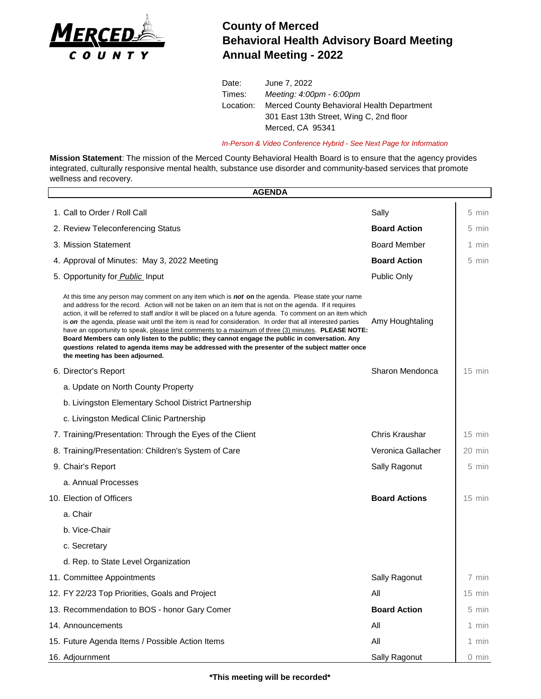

## **County of Merced Behavioral Health Advisory Board Meeting Annual Meeting - 2022**

Date: June 7, 2022 Times: *Meeting: 4:00pm - 6:00pm* Location: Merced County Behavioral Health Department 301 East 13th Street, Wing C, 2nd floor Merced, CA 95341

*In-Person & Video Conference Hybrid - See Next Page for Information*

**Mission Statement**: The mission of the Merced County Behavioral Health Board is to ensure that the agency provides integrated, culturally responsive mental health, substance use disorder and community-based services that promote wellness and recovery.

| <b>AGENDA</b> |                                                                                                                                                                                                                                                                                                                                                                                                                                                                                                                                                                                                                                                                                                                                                                                                          |                      |          |  |
|---------------|----------------------------------------------------------------------------------------------------------------------------------------------------------------------------------------------------------------------------------------------------------------------------------------------------------------------------------------------------------------------------------------------------------------------------------------------------------------------------------------------------------------------------------------------------------------------------------------------------------------------------------------------------------------------------------------------------------------------------------------------------------------------------------------------------------|----------------------|----------|--|
|               | 1. Call to Order / Roll Call                                                                                                                                                                                                                                                                                                                                                                                                                                                                                                                                                                                                                                                                                                                                                                             | Sally                | 5 min    |  |
|               | 2. Review Teleconferencing Status                                                                                                                                                                                                                                                                                                                                                                                                                                                                                                                                                                                                                                                                                                                                                                        | <b>Board Action</b>  | 5 min    |  |
|               | 3. Mission Statement                                                                                                                                                                                                                                                                                                                                                                                                                                                                                                                                                                                                                                                                                                                                                                                     | <b>Board Member</b>  | 1 min    |  |
|               | 4. Approval of Minutes: May 3, 2022 Meeting                                                                                                                                                                                                                                                                                                                                                                                                                                                                                                                                                                                                                                                                                                                                                              | <b>Board Action</b>  | 5 min    |  |
|               | 5. Opportunity for <b>Public</b> Input                                                                                                                                                                                                                                                                                                                                                                                                                                                                                                                                                                                                                                                                                                                                                                   | Public Only          |          |  |
|               | At this time any person may comment on any item which is <b>not on</b> the agenda. Please state your name<br>and address for the record. Action will not be taken on an item that is not on the agenda. If it requires<br>action, it will be referred to staff and/or it will be placed on a future agenda. To comment on an item which<br>is on the agenda, please wait until the item is read for consideration. In order that all interested parties<br>have an opportunity to speak, please limit comments to a maximum of three (3) minutes. PLEASE NOTE:<br>Board Members can only listen to the public; they cannot engage the public in conversation. Any<br>questions related to agenda items may be addressed with the presenter of the subject matter once<br>the meeting has been adjourned. | Amy Houghtaling      |          |  |
|               | 6. Director's Report                                                                                                                                                                                                                                                                                                                                                                                                                                                                                                                                                                                                                                                                                                                                                                                     | Sharon Mendonca      | $15$ min |  |
|               | a. Update on North County Property                                                                                                                                                                                                                                                                                                                                                                                                                                                                                                                                                                                                                                                                                                                                                                       |                      |          |  |
|               | b. Livingston Elementary School District Partnership                                                                                                                                                                                                                                                                                                                                                                                                                                                                                                                                                                                                                                                                                                                                                     |                      |          |  |
|               | c. Livingston Medical Clinic Partnership                                                                                                                                                                                                                                                                                                                                                                                                                                                                                                                                                                                                                                                                                                                                                                 |                      |          |  |
|               | 7. Training/Presentation: Through the Eyes of the Client                                                                                                                                                                                                                                                                                                                                                                                                                                                                                                                                                                                                                                                                                                                                                 | Chris Kraushar       | $15$ min |  |
|               | 8. Training/Presentation: Children's System of Care                                                                                                                                                                                                                                                                                                                                                                                                                                                                                                                                                                                                                                                                                                                                                      | Veronica Gallacher   | 20 min   |  |
|               | 9. Chair's Report                                                                                                                                                                                                                                                                                                                                                                                                                                                                                                                                                                                                                                                                                                                                                                                        | Sally Ragonut        | 5 min    |  |
|               | a. Annual Processes                                                                                                                                                                                                                                                                                                                                                                                                                                                                                                                                                                                                                                                                                                                                                                                      |                      |          |  |
|               | 10. Election of Officers                                                                                                                                                                                                                                                                                                                                                                                                                                                                                                                                                                                                                                                                                                                                                                                 | <b>Board Actions</b> | $15$ min |  |
|               | a. Chair                                                                                                                                                                                                                                                                                                                                                                                                                                                                                                                                                                                                                                                                                                                                                                                                 |                      |          |  |
|               | b. Vice-Chair                                                                                                                                                                                                                                                                                                                                                                                                                                                                                                                                                                                                                                                                                                                                                                                            |                      |          |  |
|               | c. Secretary                                                                                                                                                                                                                                                                                                                                                                                                                                                                                                                                                                                                                                                                                                                                                                                             |                      |          |  |
|               | d. Rep. to State Level Organization                                                                                                                                                                                                                                                                                                                                                                                                                                                                                                                                                                                                                                                                                                                                                                      |                      |          |  |
|               | 11. Committee Appointments                                                                                                                                                                                                                                                                                                                                                                                                                                                                                                                                                                                                                                                                                                                                                                               | Sally Ragonut        | 7 min    |  |
|               | 12. FY 22/23 Top Priorities, Goals and Project                                                                                                                                                                                                                                                                                                                                                                                                                                                                                                                                                                                                                                                                                                                                                           | All                  | $15$ min |  |
|               | 13. Recommendation to BOS - honor Gary Comer                                                                                                                                                                                                                                                                                                                                                                                                                                                                                                                                                                                                                                                                                                                                                             | <b>Board Action</b>  | 5 min    |  |
|               | 14. Announcements                                                                                                                                                                                                                                                                                                                                                                                                                                                                                                                                                                                                                                                                                                                                                                                        | All                  | 1 min    |  |
|               | 15. Future Agenda Items / Possible Action Items                                                                                                                                                                                                                                                                                                                                                                                                                                                                                                                                                                                                                                                                                                                                                          | All                  | 1 min    |  |
|               | 16. Adjournment                                                                                                                                                                                                                                                                                                                                                                                                                                                                                                                                                                                                                                                                                                                                                                                          | Sally Ragonut        | 0 min    |  |